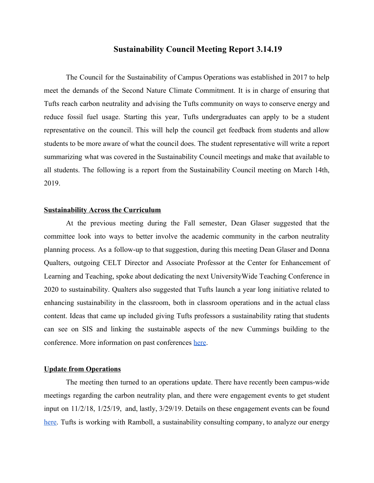### **Sustainability Council Meeting Report 3.14.19**

The Council for the Sustainability of Campus Operations was established in 2017 to help meet the demands of the Second Nature Climate Commitment. It is in charge of ensuring that Tufts reach carbon neutrality and advising the Tufts community on ways to conserve energy and reduce fossil fuel usage. Starting this year, Tufts undergraduates can apply to be a student representative on the council. This will help the council get feedback from students and allow students to be more aware of what the council does. The student representative will write a report summarizing what was covered in the Sustainability Council meetings and make that available to all students. The following is a report from the Sustainability Council meeting on March 14th, 2019.

### **Sustainability Across the Curriculum**

At the previous meeting during the Fall semester, Dean Glaser suggested that the committee look into ways to better involve the academic community in the carbon neutrality planning process. As a follow-up to that suggestion, during this meeting Dean Glaser and Donna Qualters, outgoing CELT Director and Associate Professor at the Center for Enhancement of Learning and Teaching, spoke about dedicating the next UniversityWide Teaching Conference in 2020 to sustainability. Qualters also suggested that Tufts launch a year long initiative related to enhancing sustainability in the classroom, both in classroom operations and in the actual class content. Ideas that came up included giving Tufts professors a sustainability rating that students can see on SIS and linking the sustainable aspects of the new Cummings building to the conference. More information on past conferences [here.](https://provost.tufts.edu/celt/32-university-wide-teaching-conference/)

### **Update from Operations**

The meeting then turned to an operations update. There have recently been campus-wide meetings regarding the carbon neutrality plan, and there were engagement events to get student input on 11/2/18, 1/25/19, and, lastly, 3/29/19. Details on these engagement events can be found [here.](https://sustainability.tufts.edu/sustainability-at-tufts/institutional-environmental-initiatives/carbon-neutrality-planning-at-tufts/) Tufts is working with Ramboll, a sustainability consulting company, to analyze our energy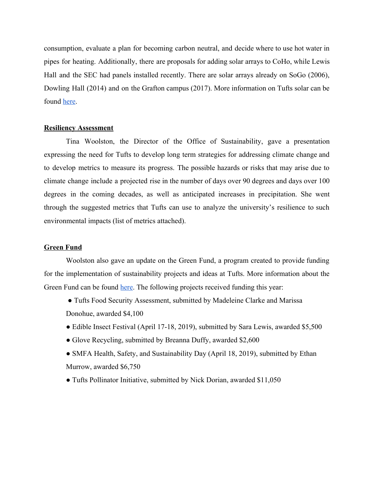consumption, evaluate a plan for becoming carbon neutral, and decide where to use hot water in pipes for heating. Additionally, there are proposals for adding solar arrays to CoHo, while Lewis Hall and the SEC had panels installed recently. There are solar arrays already on SoGo (2006), Dowling Hall (2014) and on the Grafton campus (2017). More information on Tufts solar can be found [here.](https://sustainability.tufts.edu/sustainability-at-tufts/institutional-environmental-initiatives/solar-at-tufts/)

### **Resiliency Assessment**

Tina Woolston, the Director of the Office of Sustainability, gave a presentation expressing the need for Tufts to develop long term strategies for addressing climate change and to develop metrics to measure its progress. The possible hazards or risks that may arise due to climate change include a projected rise in the number of days over 90 degrees and days over 100 degrees in the coming decades, as well as anticipated increases in precipitation. She went through the suggested metrics that Tufts can use to analyze the university's resilience to such environmental impacts (list of metrics attached).

### **Green Fund**

Woolston also gave an update on the Green Fund, a program created to provide funding for the implementation of sustainability projects and ideas at Tufts. More information about the Green Fund can be found [here.](https://sustainability.tufts.edu/green-fund/) The following projects received funding this year:

- Tufts Food Security Assessment, submitted by Madeleine Clarke and Marissa Donohue, awarded \$4,100
- Edible Insect Festival (April 17-18, 2019), submitted by Sara Lewis, awarded \$5,500
- Glove Recycling, submitted by Breanna Duffy, awarded \$2,600
- SMFA Health, Safety, and Sustainability Day (April 18, 2019), submitted by Ethan Murrow, awarded \$6,750
- Tufts Pollinator Initiative, submitted by Nick Dorian, awarded \$11,050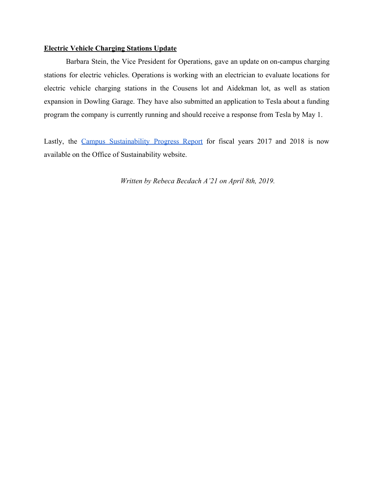### **Electric Vehicle Charging Stations Update**

Barbara Stein, the Vice President for Operations, gave an update on on-campus charging stations for electric vehicles. Operations is working with an electrician to evaluate locations for electric vehicle charging stations in the Cousens lot and Aidekman lot, as well as station expansion in Dowling Garage. They have also submitted an application to Tesla about a funding program the company is currently running and should receive a response from Tesla by May 1.

Lastly, the Campus [Sustainability](https://sustainability.tufts.edu/sustainability-at-tufts/progress-reports/) Progress Report for fiscal years 2017 and 2018 is now available on the Office of Sustainability website.

*Written by Rebeca Becdach A'21 on April 8th, 2019.*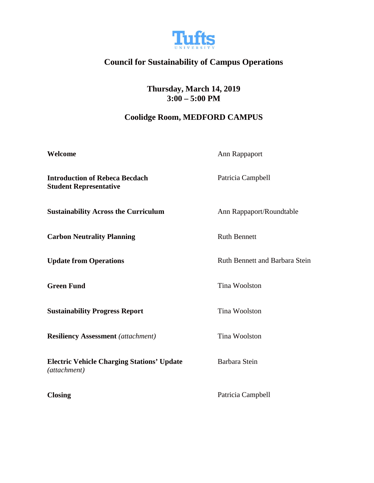

# **Council for Sustainability of Campus Operations**

**Thursday, March 14, 2019 3:00 – 5:00 PM**

### **Coolidge Room, MEDFORD CAMPUS**

| Welcome                                                                | Ann Rappaport                  |
|------------------------------------------------------------------------|--------------------------------|
| <b>Introduction of Rebeca Becdach</b><br><b>Student Representative</b> | Patricia Campbell              |
| <b>Sustainability Across the Curriculum</b>                            | Ann Rappaport/Roundtable       |
| <b>Carbon Neutrality Planning</b>                                      | <b>Ruth Bennett</b>            |
| <b>Update from Operations</b>                                          | Ruth Bennett and Barbara Stein |
| <b>Green Fund</b>                                                      | Tina Woolston                  |
| <b>Sustainability Progress Report</b>                                  | Tina Woolston                  |
| <b>Resiliency Assessment</b> (attachment)                              | Tina Woolston                  |
| <b>Electric Vehicle Charging Stations' Update</b><br>(attachment)      | Barbara Stein                  |
| <b>Closing</b>                                                         | Patricia Campbell              |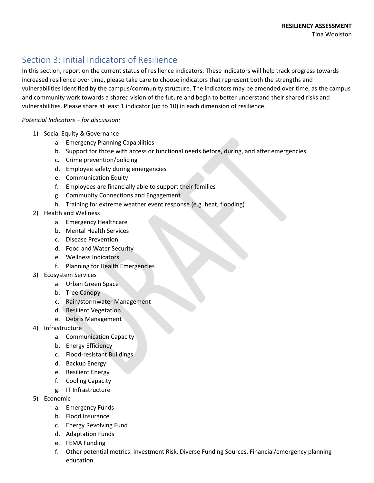## Section 3: Initial Indicators of Resilience

In this section, report on the current status of resilience indicators. These indicators will help track progress towards increased resilience over time, please take care to choose indicators that represent both the strengths and vulnerabilities identified by the campus/community structure. The indicators may be amended over time, as the campus and community work towards a shared vision of the future and begin to better understand their shared risks and vulnerabilities. Please share at least 1 indicator (up to 10) in each dimension of resilience.

### *Potential Indicators – for discussion:*

- 1) Social Equity & Governance
	- a. Emergency Planning Capabilities
	- b. Support for those with access or functional needs before, during, and after emergencies.
	- c. Crime prevention/policing
	- d. Employee safety during emergencies
	- e. Communication Equity
	- f. Employees are financially able to support their families
	- g. Community Connections and Engagement
	- h. Training for extreme weather event response (e.g. heat, flooding)
- 2) Health and Wellness
	- a. Emergency Healthcare
	- b. Mental Health Services
	- c. Disease Prevention
	- d. Food and Water Security
	- e. Wellness Indicators
	- f. Planning for Health Emergencies
- 3) Ecosystem Services
	- a. Urban Green Space
	- b. Tree Canopy
	- c. Rain/stormwater Management
	- d. Resilient Vegetation
	- e. Debris Management
- 4) Infrastructure
	- a. Communication Capacity
	- b. Energy Efficiency
	- c. Flood-resistant Buildings
	- d. Backup Energy
	- e. Resilient Energy
	- f. Cooling Capacity
	- g. IT Infrastructure
- 5) Economic
	- a. Emergency Funds
	- b. Flood Insurance
	- c. Energy Revolving Fund
	- d. Adaptation Funds
	- e. FEMA Funding
	- f. Other potential metrics: Investment Risk, Diverse Funding Sources, Financial/emergency planning education